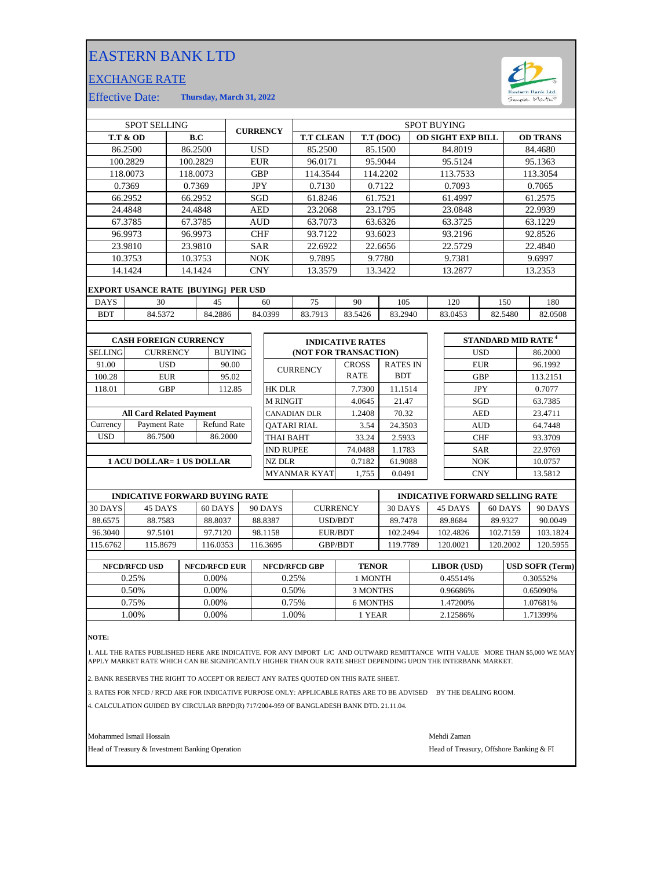## EASTERN BANK LTD

## EXCHANGE RATE



Effective Date: **Thursday, March 31, 2022**

|                | <b>SPOT SELLING</b><br><b>CURRENCY</b>     |            | <b>SPOT BUYING</b> |                    |            |                    |                         |              |                 |                          |            |  |                                |
|----------------|--------------------------------------------|------------|--------------------|--------------------|------------|--------------------|-------------------------|--------------|-----------------|--------------------------|------------|--|--------------------------------|
|                | <b>T.T &amp; OD</b>                        |            | B.C                |                    |            |                    | <b>T.T CLEAN</b>        |              | T.T (DOC)       | <b>OD SIGHT EXP BILL</b> |            |  | <b>OD TRANS</b>                |
|                | 86.2500                                    |            | 86.2500            |                    |            | <b>USD</b>         | 85.2500                 |              | 85.1500         | 84.8019                  |            |  | 84.4680                        |
|                | 100.2829                                   | 100.2829   |                    |                    |            | <b>EUR</b>         | 96.0171                 |              | 95.9044         | 95.5124                  |            |  | 95.1363                        |
|                | 118.0073                                   | 118.0073   |                    |                    |            | <b>GBP</b>         | 114.3544                |              | 114.2202        | 113.7533                 |            |  | 113.3054                       |
|                | 0.7369                                     |            | 0.7369             |                    | <b>JPY</b> |                    | 0.7130                  |              | 0.7122          | 0.7093                   |            |  | 0.7065                         |
|                | 66.2952                                    |            | 66.2952            |                    |            | <b>SGD</b>         | 61.8246                 |              | 61.7521         | 61.4997                  |            |  | 61.2575                        |
|                | 24.4848                                    |            | 24.4848            |                    |            | <b>AED</b>         | 23.2068                 |              | 23.1795         | 23.0848                  |            |  | 22.9939                        |
|                | 67.3785                                    |            | 67.3785            |                    |            | <b>AUD</b>         | 63.7073                 |              | 63.6326         | 63.3725                  |            |  | 63.1229                        |
|                | 96.9973                                    |            | 96.9973            |                    |            | <b>CHF</b>         | 93.7122                 |              | 93.6023         | 93.2196                  |            |  | 92.8526                        |
|                | 23.9810                                    |            | 23.9810            |                    |            | <b>SAR</b>         | 22.6922                 |              | 22.6656         | 22.5729                  |            |  | 22.4840                        |
|                | 10.3753                                    |            | 10.3753            |                    |            | <b>NOK</b>         | 9.7895                  |              | 9.7780          | 9.7381                   |            |  | 9.6997                         |
|                | 14.1424                                    |            | 14.1424            |                    |            | <b>CNY</b>         | 13.3579                 |              | 13.3422         | 13.2877                  |            |  | 13.2353                        |
|                | <b>EXPORT USANCE RATE [BUYING] PER USD</b> |            |                    |                    |            |                    |                         |              |                 |                          |            |  |                                |
| <b>DAYS</b>    | 30                                         |            |                    | 45                 |            | 60                 | 75                      | 90           | 105             | 120                      | 150        |  | 180                            |
| <b>BDT</b>     | 84.5372                                    |            |                    | 84.2886            |            | 84.0399            | 83.7913                 | 83.5426      | 83.2940         | 83.0453                  | 82.5480    |  | 82.0508                        |
|                |                                            |            |                    |                    |            |                    |                         |              |                 |                          |            |  |                                |
|                | <b>CASH FOREIGN CURRENCY</b>               |            |                    |                    |            |                    | <b>INDICATIVE RATES</b> |              |                 |                          |            |  | STANDARD MID RATE <sup>4</sup> |
| <b>SELLING</b> | <b>CURRENCY</b>                            |            |                    | <b>BUYING</b>      |            |                    | (NOT FOR TRANSACTION)   |              |                 |                          | <b>USD</b> |  | 86.2000                        |
| 91.00          |                                            | <b>USD</b> |                    | 90.00              |            |                    |                         | <b>CROSS</b> | <b>RATES IN</b> |                          | <b>EUR</b> |  | 96.1992                        |
| 100.28         |                                            | <b>EUR</b> |                    | 95.02              |            |                    | <b>CURRENCY</b>         | <b>RATE</b>  | <b>BDT</b>      |                          | <b>GBP</b> |  | 113.2151                       |
| 118.01         |                                            | <b>GBP</b> |                    | 112.85             |            | <b>HK DLR</b>      |                         | 7.7300       | 11.1514         |                          | <b>JPY</b> |  | 0.7077                         |
|                |                                            |            |                    |                    |            | <b>M RINGIT</b>    |                         | 4.0645       | 21.47           |                          | SGD        |  | 63.7385                        |
|                | <b>All Card Related Payment</b>            |            |                    |                    |            |                    | <b>CANADIAN DLR</b>     | 1.2408       | 70.32           |                          | <b>AED</b> |  | 23.4711                        |
| Currency       | Payment Rate                               |            |                    | <b>Refund Rate</b> |            | <b>OATARI RIAL</b> |                         | 3.54         | 24.3503         |                          | <b>AUD</b> |  | 64.7448                        |
| <b>USD</b>     | 86.7500                                    |            |                    | 86.2000            |            | <b>THAI BAHT</b>   |                         | 33.24        | 2.5933          |                          | <b>CHF</b> |  | 93.3709                        |
|                |                                            |            |                    |                    |            | <b>IND RUPEE</b>   |                         | 74.0488      | 1.1783          |                          | <b>SAR</b> |  | 22.9769                        |
|                | 1 ACU DOLLAR= 1 US DOLLAR                  |            |                    |                    |            | <b>NZ DLR</b>      |                         | 0.7182       | 61.9088         |                          | <b>NOK</b> |  | 10.0757                        |

89.9327 90.0049 120.5955 EUR/BDT 102.2494 102.4826 102.7159 103.1824 120.2002 119.7789 120.0021 **INDICATIVE FORWARD SELLING RATE** 30 DAYS 90 DAYS 60 DAYS 88.6575 88.7583 88.8037 88.8387 115.6762 115.8679 116.0353 116.3695 GBP/BDT USD/BDT 97.7120 98.1158 116.0353 89.7478 90 DAYS CURRENCY 30 DAYS 45 DAYS 88.8037 102.2494 89.8684 96.3040 116.3695 97.5101 115.8679 **INDICATIVE FORWARD BUYING RATE** 45 DAYS 30 DAYS 45 DAYS 60 DAYS

MYANMAR KYAT 1,755 0.0491

| <b>NFCD/RFCD EUR</b> | <b>NFCD/RFCD GBP</b> | <b>TENOR</b> | LIBOR (USD) | <b>USD SOFR (Term)</b> |
|----------------------|----------------------|--------------|-------------|------------------------|
| $0.00\%$             | 0.25%                | 1 MONTH      | 0.45514\%   | 0.30552\%              |
| $0.00\%$             | 0.50%                | 3 MONTHS     | 0.96686%    | 0.65090%               |
| $0.00\%$             | 0.75%                | 6 MONTHS     | .47200%     | 1.07681%               |
| $0.00\%$             | .00%                 | l YEAR       | 2.12586%    | 1.71399%               |
|                      |                      |              |             |                        |

**NOTE:**

1. ALL THE RATES PUBLISHED HERE ARE INDICATIVE. FOR ANY IMPORT L/C AND OUTWARD REMITTANCE WITH VALUE MORE THAN \$5,000 WE MAY APPLY MARKET RATE WHICH CAN BE SIGNIFICANTLY HIGHER THAN OUR RATE SHEET DEPENDING UPON THE INTERBANK MARKET.

2. BANK RESERVES THE RIGHT TO ACCEPT OR REJECT ANY RATES QUOTED ON THIS RATE SHEET.

3. RATES FOR NFCD / RFCD ARE FOR INDICATIVE PURPOSE ONLY: APPLICABLE RATES ARE TO BE ADVISED BY THE DEALING ROOM.

4. CALCULATION GUIDED BY CIRCULAR BRPD(R) 717/2004-959 OF BANGLADESH BANK DTD. 21.11.04.

Mohammed Ismail Hossain and The Samuel Communication and the Mehdi Zaman Mehdi Zaman

Head of Treasury & Investment Banking Operation **Head of Treasury, Offshore Banking & FI** 

CNY 13.5812